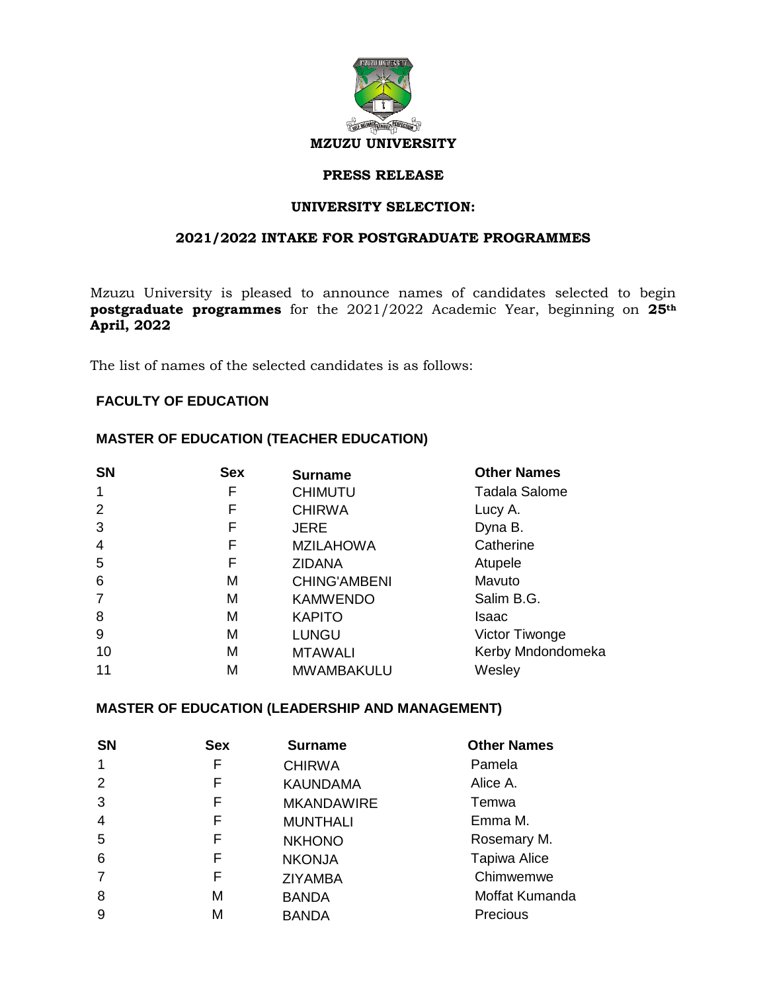

#### **PRESS RELEASE**

### **UNIVERSITY SELECTION:**

### **2021/2022 INTAKE FOR POSTGRADUATE PROGRAMMES**

Mzuzu University is pleased to announce names of candidates selected to begin **postgraduate programmes** for the 2021/2022 Academic Year, beginning on **25th April, 2022** 

The list of names of the selected candidates is as follows:

### **FACULTY OF EDUCATION**

### **MASTER OF EDUCATION (TEACHER EDUCATION)**

| <b>Sex</b> | <b>Surname</b>      | <b>Other Names</b>   |
|------------|---------------------|----------------------|
| F          | <b>CHIMUTU</b>      | <b>Tadala Salome</b> |
| F          | <b>CHIRWA</b>       | Lucy A.              |
| F          | <b>JERE</b>         | Dyna B.              |
| F          | <b>MZILAHOWA</b>    | Catherine            |
| F          | <b>ZIDANA</b>       | Atupele              |
| M          | <b>CHING'AMBENI</b> | Mavuto               |
| M          | <b>KAMWENDO</b>     | Salim B.G.           |
| M          | <b>KAPITO</b>       | Isaac                |
| M          | <b>LUNGU</b>        | Victor Tiwonge       |
| M          | <b>MTAWALI</b>      | Kerby Mndondomeka    |
| M          | <b>MWAMBAKULU</b>   | Wesley               |
|            |                     |                      |

### **MASTER OF EDUCATION (LEADERSHIP AND MANAGEMENT)**

| <b>SN</b>      | <b>Sex</b> | <b>Surname</b>    | <b>Other Names</b>  |
|----------------|------------|-------------------|---------------------|
| 1              | F          | <b>CHIRWA</b>     | Pamela              |
| 2              | F          | <b>KAUNDAMA</b>   | Alice A.            |
| 3              | F          | <b>MKANDAWIRE</b> | Temwa               |
| $\overline{4}$ | F          | <b>MUNTHALI</b>   | Emma M.             |
| 5              | F          | <b>NKHONO</b>     | Rosemary M.         |
| 6              | F          | <b>NKONJA</b>     | <b>Tapiwa Alice</b> |
| 7              | F          | <b>ZIYAMBA</b>    | Chimwemwe           |
| 8              | М          | <b>BANDA</b>      | Moffat Kumanda      |
| 9              | м          | <b>BANDA</b>      | Precious            |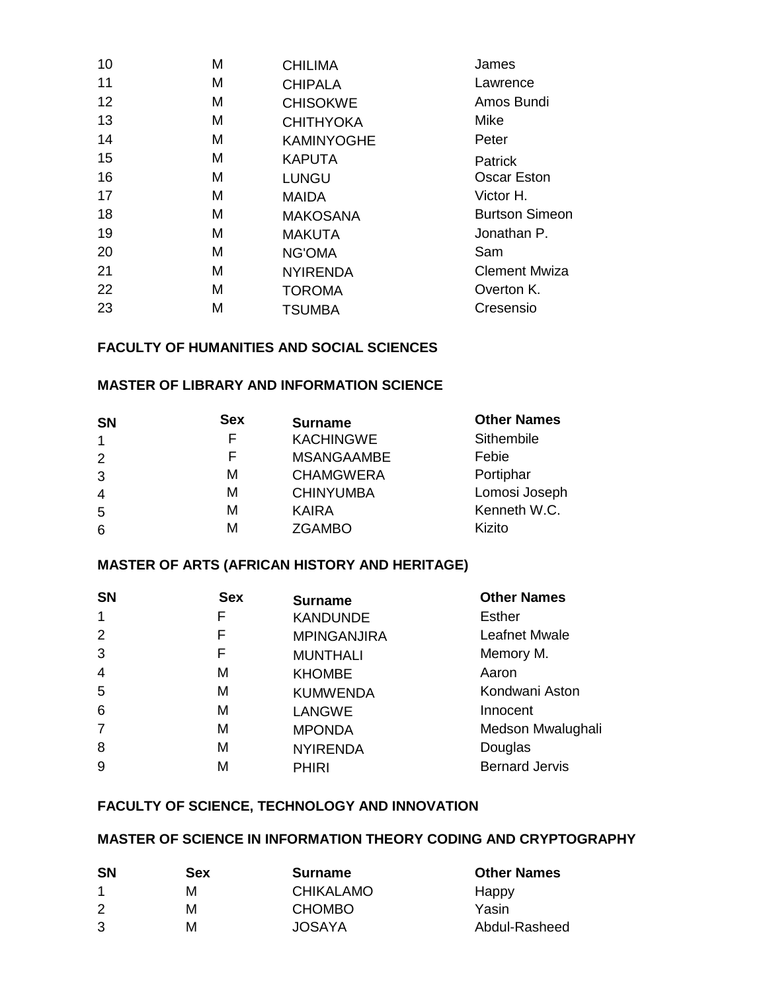| M | <b>CHILIMA</b>    | James                 |
|---|-------------------|-----------------------|
| M | <b>CHIPALA</b>    | Lawrence              |
| M | <b>CHISOKWE</b>   | Amos Bundi            |
| М | <b>CHITHYOKA</b>  | Mike                  |
| M | <b>KAMINYOGHE</b> | Peter                 |
| M | <b>KAPUTA</b>     | Patrick               |
| М | <b>LUNGU</b>      | <b>Oscar Eston</b>    |
| M | <b>MAIDA</b>      | Victor H.             |
| M | <b>MAKOSANA</b>   | <b>Burtson Simeon</b> |
| М | <b>MAKUTA</b>     | Jonathan P.           |
| M | <b>NG'OMA</b>     | Sam                   |
| M | <b>NYIRENDA</b>   | <b>Clement Mwiza</b>  |
| M | <b>TOROMA</b>     | Overton K.            |
| М | <b>TSUMBA</b>     | Cresensio             |
|   |                   |                       |

## **FACULTY OF HUMANITIES AND SOCIAL SCIENCES**

### **MASTER OF LIBRARY AND INFORMATION SCIENCE**

| <b>SN</b>      | <b>Sex</b> | <b>Surname</b>    | <b>Other Names</b> |
|----------------|------------|-------------------|--------------------|
| $\mathbf{1}$   | F          | <b>KACHINGWE</b>  | Sithembile         |
| 2              | F          | <b>MSANGAAMBE</b> | Febie              |
| 3              | M          | <b>CHAMGWERA</b>  | Portiphar          |
| $\overline{4}$ | M          | <b>CHINYUMBA</b>  | Lomosi Joseph      |
| 5              | M          | <b>KAIRA</b>      | Kenneth W.C.       |
| 6              | M          | <b>ZGAMBO</b>     | Kizito             |

# **MASTER OF ARTS (AFRICAN HISTORY AND HERITAGE)**

| <b>SN</b>      | <b>Sex</b> | <b>Surname</b>     | <b>Other Names</b>    |
|----------------|------------|--------------------|-----------------------|
| $\mathbf 1$    | F          | <b>KANDUNDE</b>    | <b>Esther</b>         |
| 2              | F          | <b>MPINGANJIRA</b> | <b>Leafnet Mwale</b>  |
| 3              | F          | <b>MUNTHALI</b>    | Memory M.             |
| $\overline{4}$ | м          | <b>KHOMBE</b>      | Aaron                 |
| 5              | м          | <b>KUMWENDA</b>    | Kondwani Aston        |
| 6              | м          | <b>LANGWE</b>      | Innocent              |
| 7              | M          | <b>MPONDA</b>      | Medson Mwalughali     |
| 8              | М          | <b>NYIRENDA</b>    | Douglas               |
| 9              | М          | <b>PHIRI</b>       | <b>Bernard Jervis</b> |

# **FACULTY OF SCIENCE, TECHNOLOGY AND INNOVATION**

# **MASTER OF SCIENCE IN INFORMATION THEORY CODING AND CRYPTOGRAPHY**

| <b>SN</b> | <b>Sex</b> | <b>Surname</b>   | <b>Other Names</b> |
|-----------|------------|------------------|--------------------|
| -1        | м          | <b>CHIKALAMO</b> | Happy              |
| 2         | М          | <b>CHOMBO</b>    | Yasin              |
| 3         | M          | JOSAYA           | Abdul-Rasheed      |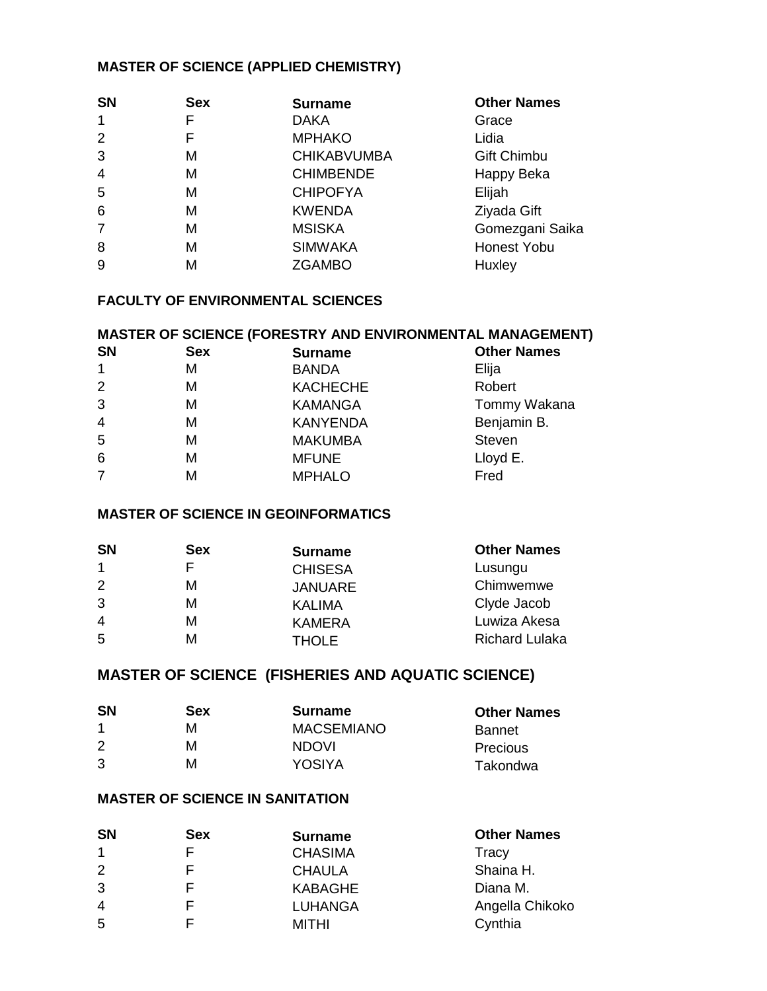# **MASTER OF SCIENCE (APPLIED CHEMISTRY)**

| <b>SN</b>      | <b>Sex</b> | <b>Surname</b>     | <b>Other Names</b> |
|----------------|------------|--------------------|--------------------|
|                |            | <b>DAKA</b>        | Grace              |
| $\overline{2}$ |            | <b>MPHAKO</b>      | Lidia              |
| 3              | M          | <b>CHIKABVUMBA</b> | Gift Chimbu        |
| 4              | M          | <b>CHIMBENDE</b>   | Happy Beka         |
| 5              | M          | <b>CHIPOFYA</b>    | Elijah             |
| 6              | M          | <b>KWENDA</b>      | Ziyada Gift        |
| $\overline{7}$ | M          | <b>MSISKA</b>      | Gomezgani Saika    |
| 8              | M          | <b>SIMWAKA</b>     | Honest Yobu        |
| 9              | M          | <b>ZGAMBO</b>      | Huxley             |
|                |            |                    |                    |

# **FACULTY OF ENVIRONMENTAL SCIENCES**

### **MASTER OF SCIENCE (FORESTRY AND ENVIRONMENTAL MANAGEMENT)**

| <b>SN</b>      | <b>Sex</b> | <b>Surname</b>  | <b>Other Names</b> |
|----------------|------------|-----------------|--------------------|
| $\mathbf{1}$   | М          | <b>BANDA</b>    | Elija              |
| 2              | м          | <b>KACHECHE</b> | Robert             |
| 3              | М          | <b>KAMANGA</b>  | Tommy Wakana       |
| $\overline{4}$ | М          | <b>KANYENDA</b> | Benjamin B.        |
| 5              | М          | <b>MAKUMBA</b>  | <b>Steven</b>      |
| 6              | М          | <b>MFUNE</b>    | Lloyd E.           |
| $\overline{7}$ | М          | <b>MPHALO</b>   | Fred               |

#### **MASTER OF SCIENCE IN GEOINFORMATICS**

| <b>SN</b>            | <b>Sex</b> | <b>Surname</b> | <b>Other Names</b>    |
|----------------------|------------|----------------|-----------------------|
| $\blacktriangleleft$ |            | <b>CHISESA</b> | Lusungu               |
| 2                    | м          | <b>JANUARE</b> | Chimwemwe             |
| 3                    | М          | <b>KALIMA</b>  | Clyde Jacob           |
| $\overline{4}$       | М          | <b>KAMERA</b>  | Luwiza Akesa          |
| 5                    | м          | THOLE          | <b>Richard Lulaka</b> |

# **MASTER OF SCIENCE (FISHERIES AND AQUATIC SCIENCE)**

| <b>SN</b> | <b>Sex</b> | <b>Surname</b>    | <b>Other Names</b> |
|-----------|------------|-------------------|--------------------|
|           | м          | <b>MACSEMIANO</b> | <b>Bannet</b>      |
| 2         | М          | <b>NDOVI</b>      | Precious           |
| 3         | м          | <b>YOSIYA</b>     | Takondwa           |

### **MASTER OF SCIENCE IN SANITATION**

| <b>SN</b>      | Sex | <b>Surname</b> | <b>Other Names</b> |
|----------------|-----|----------------|--------------------|
| $\overline{1}$ |     | <b>CHASIMA</b> | Tracy              |
| 2              |     | <b>CHAULA</b>  | Shaina H.          |
| 3              |     | <b>KABAGHE</b> | Diana M.           |
| $\overline{4}$ |     | <b>LUHANGA</b> | Angella Chikoko    |
| -5             |     | MITHI          | Cynthia            |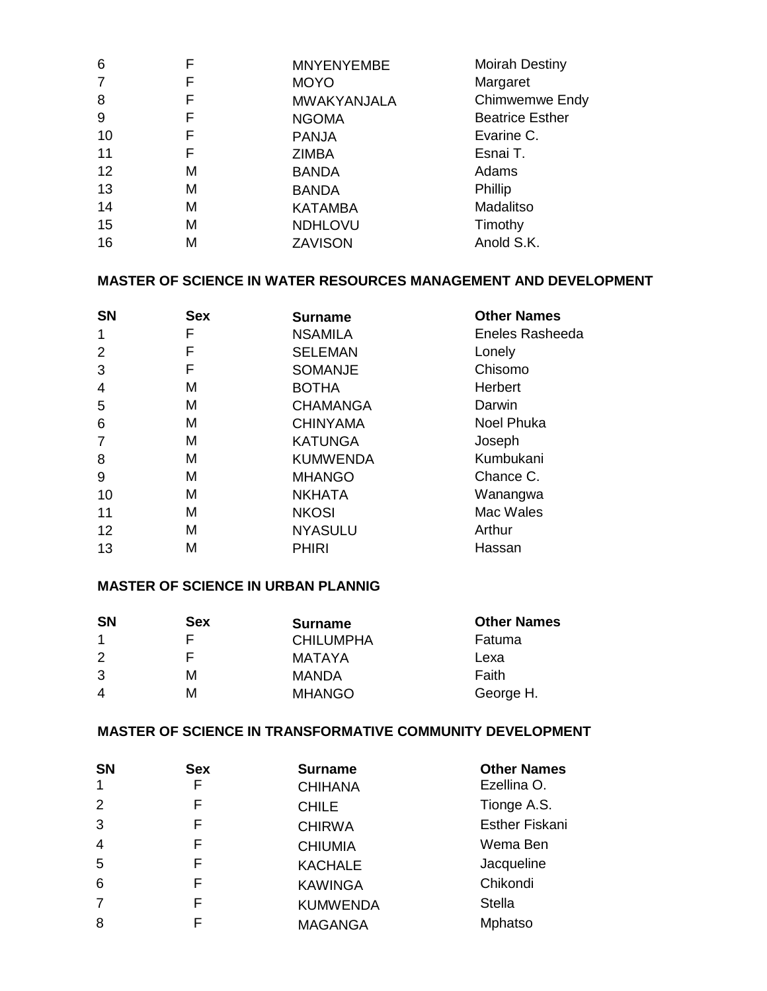| 6              | F | <b>MNYENYEMBE</b>  | <b>Moirah Destiny</b>  |
|----------------|---|--------------------|------------------------|
| $\overline{7}$ | F | <b>MOYO</b>        | Margaret               |
| 8              | F | <b>MWAKYANJALA</b> | Chimwemwe Endy         |
| 9              | F | <b>NGOMA</b>       | <b>Beatrice Esther</b> |
| 10             | F | <b>PANJA</b>       | Evarine C.             |
| 11             | F | <b>ZIMBA</b>       | Esnai T.               |
| 12             | м | <b>BANDA</b>       | Adams                  |
| 13             | M | <b>BANDA</b>       | Phillip                |
| 14             | M | <b>KATAMBA</b>     | Madalitso              |
| 15             | M | <b>NDHLOVU</b>     | Timothy                |
| 16             | M | <b>ZAVISON</b>     | Anold S.K.             |

# **MASTER OF SCIENCE IN WATER RESOURCES MANAGEMENT AND DEVELOPMENT**

| <b>SN</b>      | <b>Sex</b> | <b>Surname</b>  | <b>Other Names</b> |
|----------------|------------|-----------------|--------------------|
| $\mathbf{1}$   | F          | <b>NSAMILA</b>  | Eneles Rasheeda    |
| $\overline{2}$ | F          | <b>SELEMAN</b>  | Lonely             |
| 3              | F          | <b>SOMANJE</b>  | Chisomo            |
| $\overline{4}$ | M          | <b>BOTHA</b>    | Herbert            |
| 5              | M          | <b>CHAMANGA</b> | Darwin             |
| 6              | M          | <b>CHINYAMA</b> | <b>Noel Phuka</b>  |
| $\overline{7}$ | M          | <b>KATUNGA</b>  | Joseph             |
| 8              | M          | <b>KUMWENDA</b> | Kumbukani          |
| 9              | M          | <b>MHANGO</b>   | Chance C.          |
| 10             | M          | <b>NKHATA</b>   | Wanangwa           |
| 11             | M          | <b>NKOSI</b>    | Mac Wales          |
| 12             | M          | <b>NYASULU</b>  | Arthur             |
| 13             | М          | <b>PHIRI</b>    | Hassan             |

# **MASTER OF SCIENCE IN URBAN PLANNIG**

| <b>SN</b> | Sex | <b>Surname</b>   | <b>Other Names</b> |
|-----------|-----|------------------|--------------------|
|           |     | <b>CHILUMPHA</b> | Fatuma             |
| 2         |     | MATAYA           | Lexa               |
| 3         | м   | MANDA            | Faith              |
| 4         | м   | <b>MHANGO</b>    | George H.          |

# **MASTER OF SCIENCE IN TRANSFORMATIVE COMMUNITY DEVELOPMENT**

| <b>SN</b>            | <b>Sex</b> | <b>Surname</b>  | <b>Other Names</b>    |
|----------------------|------------|-----------------|-----------------------|
| $\blacktriangleleft$ | F          | <b>CHIHANA</b>  | Ezellina O.           |
| 2                    | F          | <b>CHILE</b>    | Tionge A.S.           |
| 3                    | F          | <b>CHIRWA</b>   | <b>Esther Fiskani</b> |
| $\overline{4}$       | F          | <b>CHIUMIA</b>  | Wema Ben              |
| 5                    | F          | <b>KACHALE</b>  | Jacqueline            |
| 6                    | F          | <b>KAWINGA</b>  | Chikondi              |
| 7                    | F          | <b>KUMWENDA</b> | <b>Stella</b>         |
| 8                    | F          | <b>MAGANGA</b>  | Mphatso               |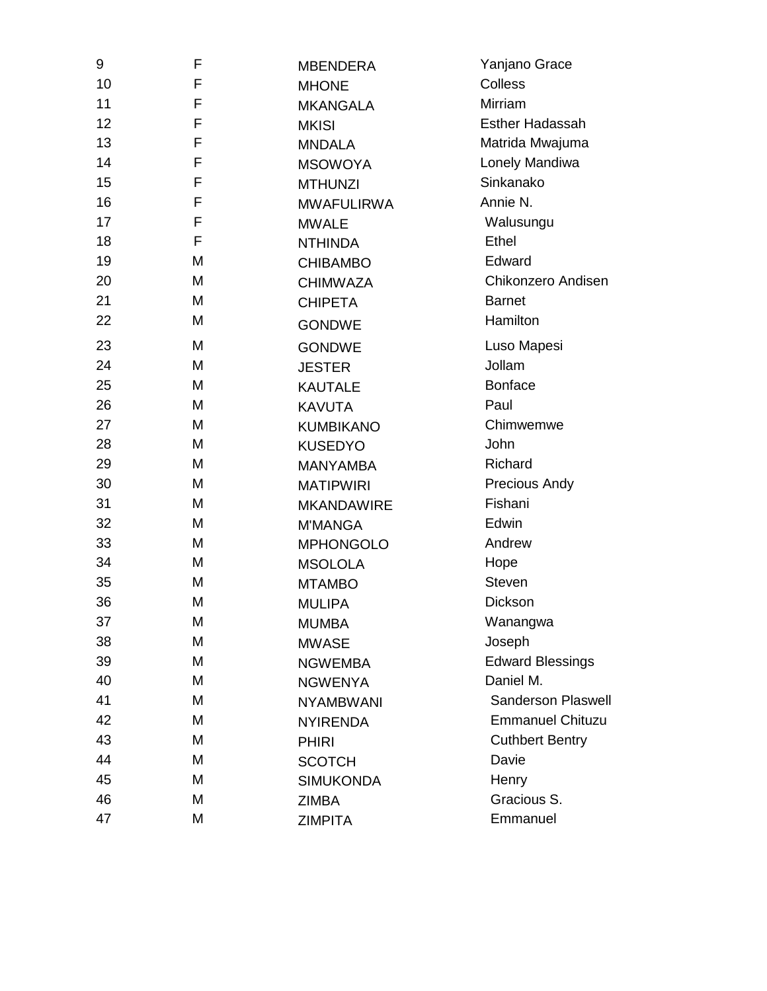| 9  | F | <b>MBENDERA</b>   | Yanjano Grace             |
|----|---|-------------------|---------------------------|
| 10 | F | <b>MHONE</b>      | Colless                   |
| 11 | F | <b>MKANGALA</b>   | Mirriam                   |
| 12 | F | <b>MKISI</b>      | <b>Esther Hadassah</b>    |
| 13 | F | <b>MNDALA</b>     | Matrida Mwajuma           |
| 14 | F | <b>MSOWOYA</b>    | Lonely Mandiwa            |
| 15 | F | <b>MTHUNZI</b>    | Sinkanako                 |
| 16 | F | <b>MWAFULIRWA</b> | Annie N.                  |
| 17 | F | <b>MWALE</b>      | Walusungu                 |
| 18 | F | <b>NTHINDA</b>    | Ethel                     |
| 19 | M | <b>CHIBAMBO</b>   | Edward                    |
| 20 | M | <b>CHIMWAZA</b>   | Chikonzero Andisen        |
| 21 | M | <b>CHIPETA</b>    | <b>Barnet</b>             |
| 22 | M | <b>GONDWE</b>     | Hamilton                  |
| 23 | M | <b>GONDWE</b>     | Luso Mapesi               |
| 24 | M | <b>JESTER</b>     | Jollam                    |
| 25 | M | <b>KAUTALE</b>    | <b>Bonface</b>            |
| 26 | M | <b>KAVUTA</b>     | Paul                      |
| 27 | M | <b>KUMBIKANO</b>  | Chimwemwe                 |
| 28 | M | <b>KUSEDYO</b>    | John                      |
| 29 | M | <b>MANYAMBA</b>   | Richard                   |
| 30 | M | <b>MATIPWIRI</b>  | <b>Precious Andy</b>      |
| 31 | M | <b>MKANDAWIRE</b> | Fishani                   |
| 32 | M | <b>M'MANGA</b>    | Edwin                     |
| 33 | M | <b>MPHONGOLO</b>  | Andrew                    |
| 34 | M | <b>MSOLOLA</b>    | Hope                      |
| 35 | M | <b>MTAMBO</b>     | <b>Steven</b>             |
| 36 | M | <b>MULIPA</b>     | Dickson                   |
| 37 | М | <b>MUMBA</b>      | Wanangwa                  |
| 38 | M | <b>MWASE</b>      | Joseph                    |
| 39 | Μ | <b>NGWEMBA</b>    | <b>Edward Blessings</b>   |
| 40 | Μ | <b>NGWENYA</b>    | Daniel M.                 |
| 41 | Μ | <b>NYAMBWANI</b>  | <b>Sanderson Plaswell</b> |
| 42 | Μ | <b>NYIRENDA</b>   | <b>Emmanuel Chituzu</b>   |
| 43 | Μ | <b>PHIRI</b>      | <b>Cuthbert Bentry</b>    |
| 44 | Μ | <b>SCOTCH</b>     | Davie                     |
| 45 | Μ | <b>SIMUKONDA</b>  | Henry                     |
| 46 | Μ | <b>ZIMBA</b>      | Gracious S.               |
| 47 | М | <b>ZIMPITA</b>    | Emmanuel                  |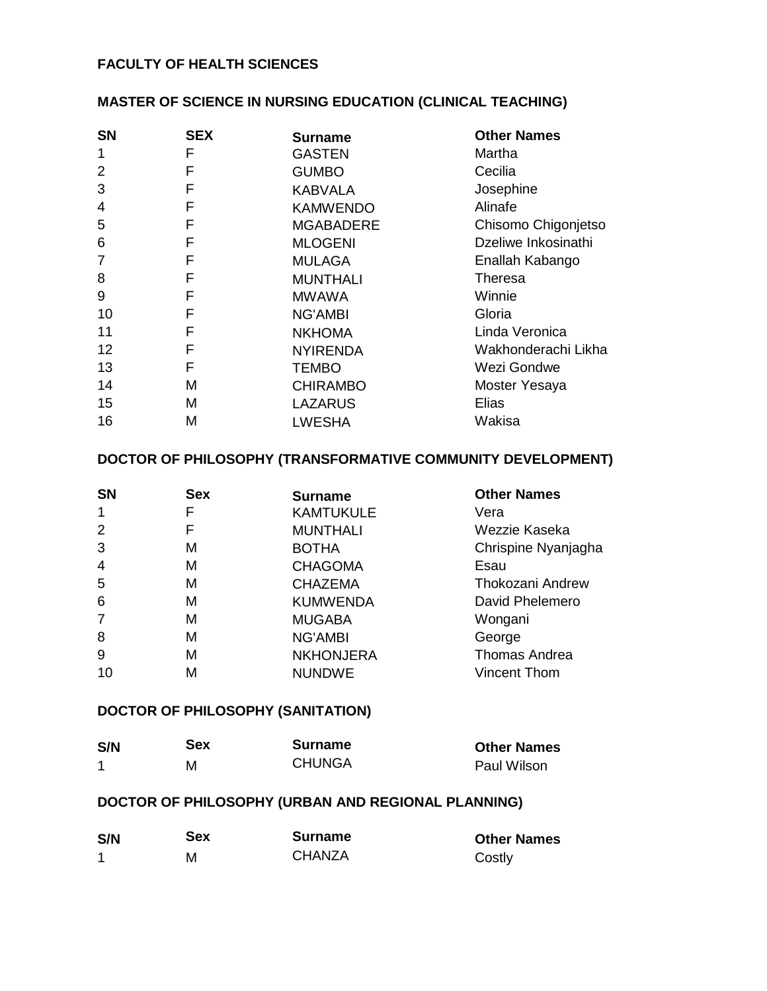### **FACULTY OF HEALTH SCIENCES**

# **MASTER OF SCIENCE IN NURSING EDUCATION (CLINICAL TEACHING)**

| <b>SN</b>      | <b>SEX</b> | <b>Surname</b>   | <b>Other Names</b>  |
|----------------|------------|------------------|---------------------|
| 1              | F          | <b>GASTEN</b>    | Martha              |
| $\overline{2}$ | F          | <b>GUMBO</b>     | Cecilia             |
| 3              | F          | KABVALA          | Josephine           |
| 4              | F          | <b>KAMWENDO</b>  | Alinafe             |
| 5              | F          | <b>MGABADERE</b> | Chisomo Chigonjetso |
| 6              | F          | <b>MLOGENI</b>   | Dzeliwe Inkosinathi |
| $\overline{7}$ | F          | <b>MULAGA</b>    | Enallah Kabango     |
| 8              | F          | <b>MUNTHALI</b>  | <b>Theresa</b>      |
| 9              | F          | <b>MWAWA</b>     | Winnie              |
| 10             | F          | <b>NG'AMBI</b>   | Gloria              |
| 11             | F          | <b>NKHOMA</b>    | Linda Veronica      |
| 12             | F          | <b>NYIRENDA</b>  | Wakhonderachi Likha |
| 13             | F          | <b>TEMBO</b>     | Wezi Gondwe         |
| 14             | M          | <b>CHIRAMBO</b>  | Moster Yesaya       |
| 15             | M          | <b>LAZARUS</b>   | Elias               |
| 16             | M          | <b>LWESHA</b>    | Wakisa              |

### **DOCTOR OF PHILOSOPHY (TRANSFORMATIVE COMMUNITY DEVELOPMENT)**

| <b>SN</b>      | <b>Sex</b> | <b>Surname</b>   | <b>Other Names</b>      |
|----------------|------------|------------------|-------------------------|
| $\mathbf{1}$   | F          | <b>KAMTUKULE</b> | Vera                    |
| 2              | F          | <b>MUNTHALI</b>  | Wezzie Kaseka           |
| 3              | м          | <b>BOTHA</b>     | Chrispine Nyanjagha     |
| $\overline{4}$ | м          | <b>CHAGOMA</b>   | Esau                    |
| 5              | м          | <b>CHAZEMA</b>   | <b>Thokozani Andrew</b> |
| 6              | м          | <b>KUMWENDA</b>  | David Phelemero         |
| $\overline{7}$ | M          | <b>MUGABA</b>    | Wongani                 |
| 8              | м          | <b>NG'AMBI</b>   | George                  |
| 9              | м          | <b>NKHONJERA</b> | <b>Thomas Andrea</b>    |
| 10             | М          | <b>NUNDWE</b>    | <b>Vincent Thom</b>     |

### **DOCTOR OF PHILOSOPHY (SANITATION)**

| S/N | <b>Sex</b> | Surname       | <b>Other Names</b> |
|-----|------------|---------------|--------------------|
|     | M          | <b>CHUNGA</b> | Paul Wilson        |

# **DOCTOR OF PHILOSOPHY (URBAN AND REGIONAL PLANNING)**

| S/N | <b>Sex</b> | <b>Surname</b> | <b>Other Names</b> |
|-----|------------|----------------|--------------------|
|     | M          | <b>CHANZA</b>  | Costly             |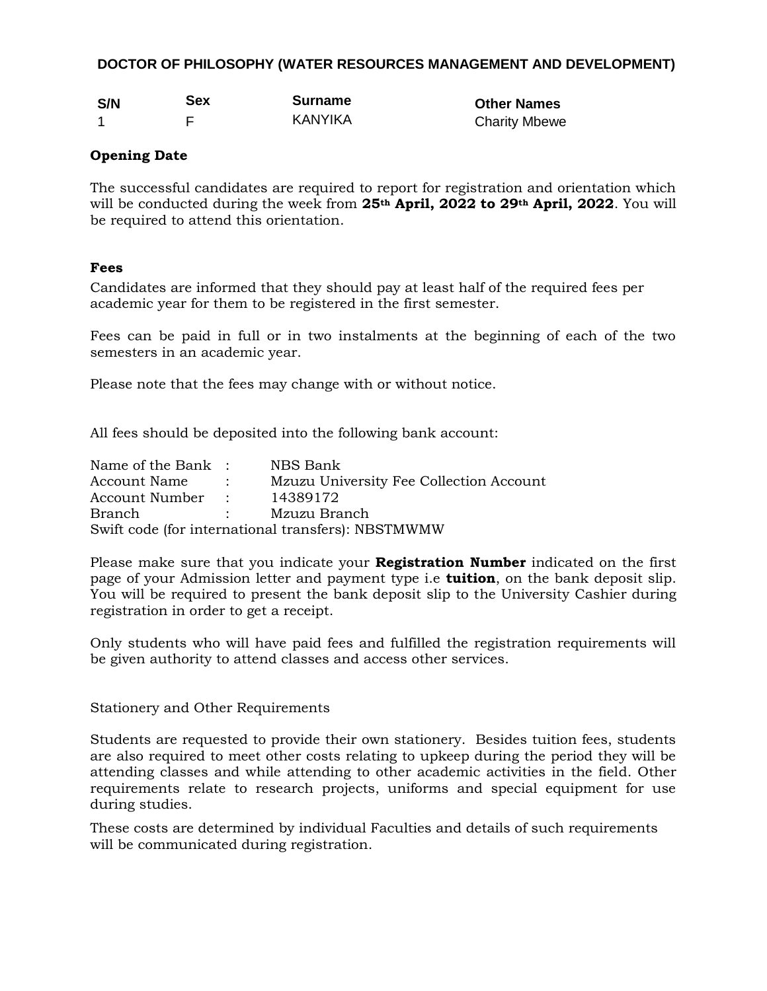#### **DOCTOR OF PHILOSOPHY (WATER RESOURCES MANAGEMENT AND DEVELOPMENT)**

| S/N | <b>Sex</b> | <b>Surname</b> |
|-----|------------|----------------|
|     |            | KANYIKA        |

**Other Names Charity Mbewe** 

### **Opening Date**

The successful candidates are required to report for registration and orientation which will be conducted during the week from **25th April, 2022 to 29th April, 2022**. You will be required to attend this orientation.

### **Fees**

Candidates are informed that they should pay at least half of the required fees per academic year for them to be registered in the first semester.

Fees can be paid in full or in two instalments at the beginning of each of the two semesters in an academic year.

Please note that the fees may change with or without notice.

All fees should be deposited into the following bank account:

| Name of the Bank : | NBS Bank                                           |
|--------------------|----------------------------------------------------|
| Account Name:      | Mzuzu University Fee Collection Account            |
| Account Number :   | 14389172                                           |
| Branch             | : Mzuzu Branch                                     |
|                    | Swift code (for international transfers): NBSTMWMW |

Please make sure that you indicate your **Registration Number** indicated on the first page of your Admission letter and payment type i.e **tuition**, on the bank deposit slip. You will be required to present the bank deposit slip to the University Cashier during registration in order to get a receipt.

Only students who will have paid fees and fulfilled the registration requirements will be given authority to attend classes and access other services.

#### Stationery and Other Requirements

Students are requested to provide their own stationery. Besides tuition fees, students are also required to meet other costs relating to upkeep during the period they will be attending classes and while attending to other academic activities in the field. Other requirements relate to research projects, uniforms and special equipment for use during studies.

These costs are determined by individual Faculties and details of such requirements will be communicated during registration.